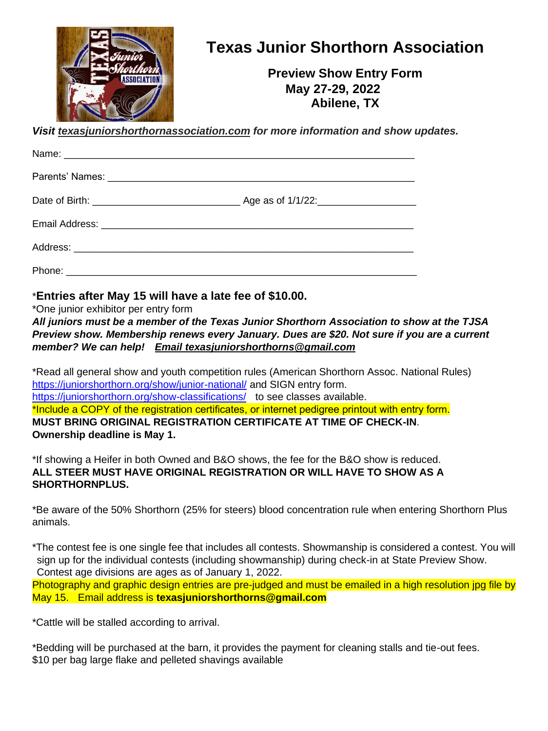

## **Texas Junior Shorthorn Association**

**Preview Show Entry Form May 27-29, 2022 Abilene, TX**

*Visit texasjuniorshorthornassociation.com for more information and show updates.*

| Name: 2008 2009 2010 2020 2021 2022 2023 2024 2022 2022 2023 2024 2022 2023 2024 2022 2023 2024 2022 2023 2024 |  |
|----------------------------------------------------------------------------------------------------------------|--|
|                                                                                                                |  |
|                                                                                                                |  |
|                                                                                                                |  |
|                                                                                                                |  |
|                                                                                                                |  |

\***Entries after May 15 will have a late fee of \$10.00.** 

\*One junior exhibitor per entry form

*All juniors must be a member of the Texas Junior Shorthorn Association to show at the TJSA Preview show. Membership renews every January. Dues are \$20. Not sure if you are a current member? We can help! Email texasjuniorshorthorns@gmail.com* 

\*Read all general show and youth competition rules (American Shorthorn Assoc. National Rules) <https://juniorshorthorn.org/show/junior-national/> and SIGN entry form. <https://juniorshorthorn.org/show-classifications/>to see classes available. \*Include a COPY of the registration certificates, or internet pedigree printout with entry form. **MUST BRING ORIGINAL REGISTRATION CERTIFICATE AT TIME OF CHECK-IN**. **Ownership deadline is May 1.** 

\*If showing a Heifer in both Owned and B&O shows, the fee for the B&O show is reduced. **ALL STEER MUST HAVE ORIGINAL REGISTRATION OR WILL HAVE TO SHOW AS A SHORTHORNPLUS.**

\*Be aware of the 50% Shorthorn (25% for steers) blood concentration rule when entering Shorthorn Plus animals.

\*The contest fee is one single fee that includes all contests. Showmanship is considered a contest. You will sign up for the individual contests (including showmanship) during check-in at State Preview Show. Contest age divisions are ages as of January 1, 2022.

Photography and graphic design entries are pre-judged and must be emailed in a high resolution jpg file by May 15. Email address is **texasjuniorshorthorns@gmail.com**

\*Cattle will be stalled according to arrival.

\*Bedding will be purchased at the barn, it provides the payment for cleaning stalls and tie-out fees. \$10 per bag large flake and pelleted shavings available